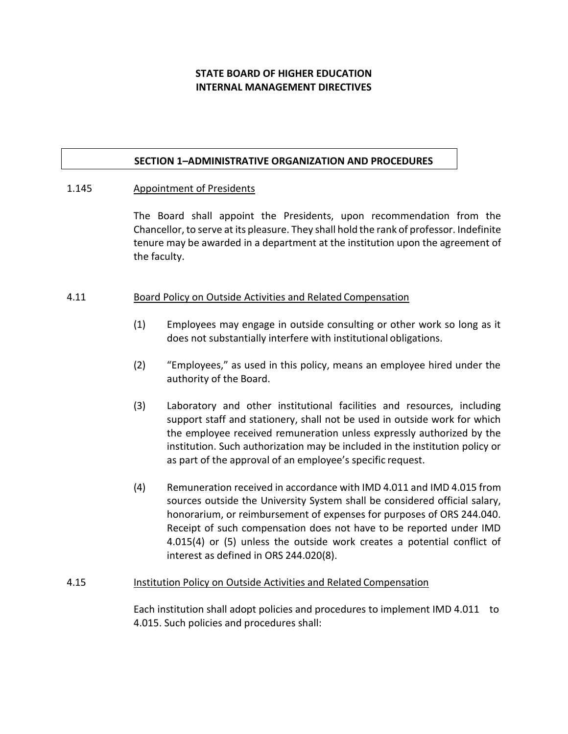# **STATE BOARD OF HIGHER EDUCATION INTERNAL MANAGEMENT DIRECTIVES**

#### **SECTION 1–ADMINISTRATIVE ORGANIZATION AND PROCEDURES**

#### 1.145 Appointment of Presidents

The Board shall appoint the Presidents, upon recommendation from the Chancellor, to serve at its pleasure. They shall hold the rank of professor. Indefinite tenure may be awarded in a department at the institution upon the agreement of the faculty.

#### 4.11 Board Policy on Outside Activities and Related Compensation

- (1) Employees may engage in outside consulting or other work so long as it does not substantially interfere with institutional obligations.
- (2) "Employees," as used in this policy, means an employee hired under the authority of the Board.
- (3) Laboratory and other institutional facilities and resources, including support staff and stationery, shall not be used in outside work for which the employee received remuneration unless expressly authorized by the institution. Such authorization may be included in the institution policy or as part of the approval of an employee's specific request.
- (4) Remuneration received in accordance with IMD 4.011 and IMD 4.015 from sources outside the University System shall be considered official salary, honorarium, or reimbursement of expenses for purposes of ORS 244.040. Receipt of such compensation does not have to be reported under IMD 4.015(4) or (5) unless the outside work creates a potential conflict of interest as defined in ORS 244.020(8).

#### 4.15 Institution Policy on Outside Activities and Related Compensation

Each institution shall adopt policies and procedures to implement IMD 4.011 to 4.015. Such policies and procedures shall: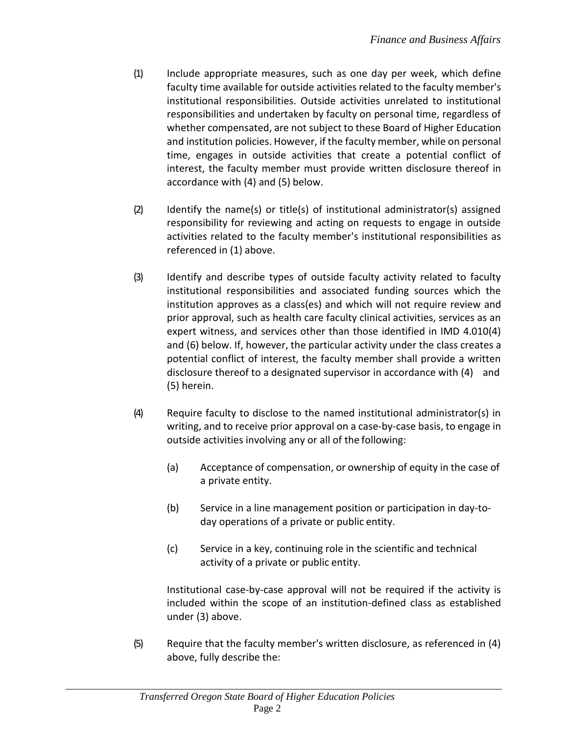- (1) Include appropriate measures, such as one day per week, which define faculty time available for outside activities related to the faculty member's institutional responsibilities. Outside activities unrelated to institutional responsibilities and undertaken by faculty on personal time, regardless of whether compensated, are not subject to these Board of Higher Education and institution policies. However, if the faculty member, while on personal time, engages in outside activities that create a potential conflict of interest, the faculty member must provide written disclosure thereof in accordance with (4) and (5) below.
- $(2)$  Identify the name(s) or title(s) of institutional administrator(s) assigned responsibility for reviewing and acting on requests to engage in outside activities related to the faculty member's institutional responsibilities as referenced in (1) above.
- (3) Identify and describe types of outside faculty activity related to faculty institutional responsibilities and associated funding sources which the institution approves as a class(es) and which will not require review and prior approval, such as health care faculty clinical activities, services as an expert witness, and services other than those identified in IMD 4.010(4) and (6) below. If, however, the particular activity under the class creates a potential conflict of interest, the faculty member shall provide a written disclosure thereof to a designated supervisor in accordance with (4) and (5) herein.
- (4) Require faculty to disclose to the named institutional administrator(s) in writing, and to receive prior approval on a case-by-case basis, to engage in outside activities involving any or all of the following:
	- (a) Acceptance of compensation, or ownership of equity in the case of a private entity.
	- (b) Service in a line management position or participation in day-today operations of a private or public entity.
	- (c) Service in a key, continuing role in the scientific and technical activity of a private or public entity.

Institutional case-by-case approval will not be required if the activity is included within the scope of an institution-defined class as established under (3) above.

(5) Require that the faculty member's written disclosure, as referenced in (4) above, fully describe the: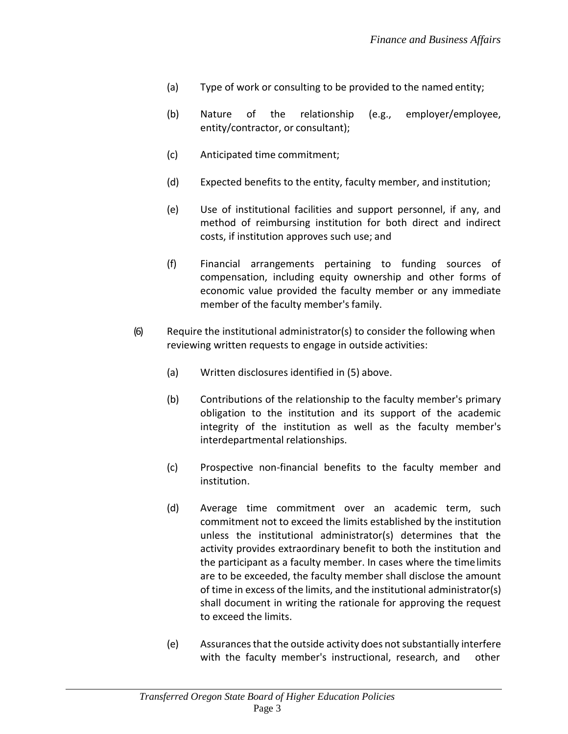- (a) Type of work or consulting to be provided to the named entity;
- (b) Nature of the relationship (e.g., employer/employee, entity/contractor, or consultant);
- (c) Anticipated time commitment;
- (d) Expected benefits to the entity, faculty member, and institution;
- (e) Use of institutional facilities and support personnel, if any, and method of reimbursing institution for both direct and indirect costs, if institution approves such use; and
- (f) Financial arrangements pertaining to funding sources of compensation, including equity ownership and other forms of economic value provided the faculty member or any immediate member of the faculty member's family.
- (6) Require the institutional administrator(s) to consider the following when reviewing written requests to engage in outside activities:
	- (a) Written disclosures identified in (5) above.
	- (b) Contributions of the relationship to the faculty member's primary obligation to the institution and its support of the academic integrity of the institution as well as the faculty member's interdepartmental relationships.
	- (c) Prospective non-financial benefits to the faculty member and institution.
	- (d) Average time commitment over an academic term, such commitment not to exceed the limits established by the institution unless the institutional administrator(s) determines that the activity provides extraordinary benefit to both the institution and the participant as a faculty member. In cases where the timelimits are to be exceeded, the faculty member shall disclose the amount of time in excess of the limits, and the institutional administrator(s) shall document in writing the rationale for approving the request to exceed the limits.
	- (e) Assurancesthat the outside activity does notsubstantially interfere with the faculty member's instructional, research, and other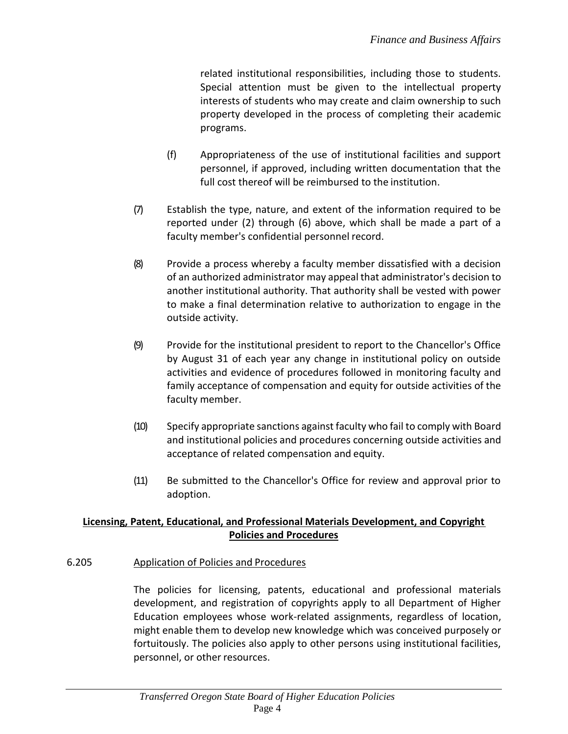related institutional responsibilities, including those to students. Special attention must be given to the intellectual property interests of students who may create and claim ownership to such property developed in the process of completing their academic programs.

- (f) Appropriateness of the use of institutional facilities and support personnel, if approved, including written documentation that the full cost thereof will be reimbursed to the institution.
- (7) Establish the type, nature, and extent of the information required to be reported under (2) through (6) above, which shall be made a part of a faculty member's confidential personnel record.
- (8) Provide a process whereby a faculty member dissatisfied with a decision of an authorized administrator may appeal that administrator's decision to another institutional authority. That authority shall be vested with power to make a final determination relative to authorization to engage in the outside activity.
- (9) Provide for the institutional president to report to the Chancellor's Office by August 31 of each year any change in institutional policy on outside activities and evidence of procedures followed in monitoring faculty and family acceptance of compensation and equity for outside activities of the faculty member.
- (10) Specify appropriate sanctions against faculty who fail to comply with Board and institutional policies and procedures concerning outside activities and acceptance of related compensation and equity.
- (11) Be submitted to the Chancellor's Office for review and approval prior to adoption.

# **Licensing, Patent, Educational, and Professional Materials Development, and Copyright Policies and Procedures**

## 6.205 Application of Policies and Procedures

The policies for licensing, patents, educational and professional materials development, and registration of copyrights apply to all Department of Higher Education employees whose work-related assignments, regardless of location, might enable them to develop new knowledge which was conceived purposely or fortuitously. The policies also apply to other persons using institutional facilities, personnel, or other resources.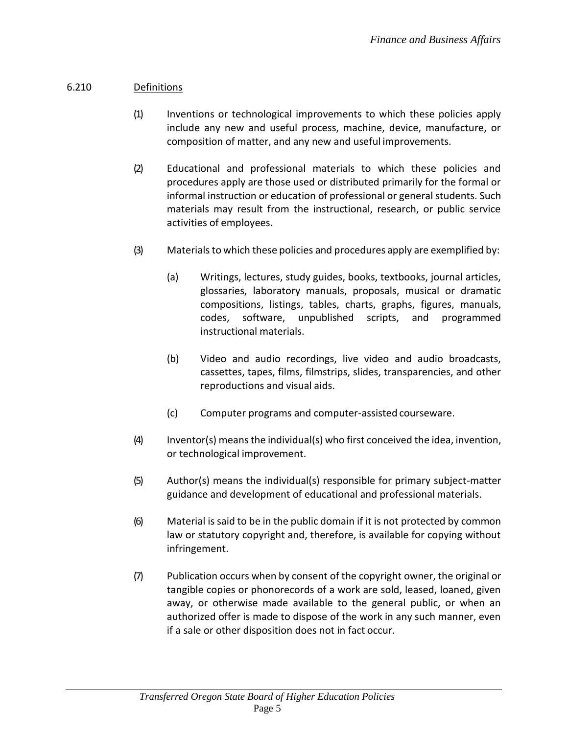# 6.210 Definitions

- (1) Inventions or technological improvements to which these policies apply include any new and useful process, machine, device, manufacture, or composition of matter, and any new and useful improvements.
- (2) Educational and professional materials to which these policies and procedures apply are those used or distributed primarily for the formal or informal instruction or education of professional or general students. Such materials may result from the instructional, research, or public service activities of employees.
- (3) Materials to which these policies and procedures apply are exemplified by:
	- (a) Writings, lectures, study guides, books, textbooks, journal articles, glossaries, laboratory manuals, proposals, musical or dramatic compositions, listings, tables, charts, graphs, figures, manuals, codes, software, unpublished scripts, and programmed instructional materials.
	- (b) Video and audio recordings, live video and audio broadcasts, cassettes, tapes, films, filmstrips, slides, transparencies, and other reproductions and visual aids.
	- (c) Computer programs and computer-assisted courseware.
- $(4)$  Inventor(s) means the individual(s) who first conceived the idea, invention, or technological improvement.
- (5) Author(s) means the individual(s) responsible for primary subject-matter guidance and development of educational and professional materials.
- (6) Material is said to be in the public domain if it is not protected by common law or statutory copyright and, therefore, is available for copying without infringement.
- (7) Publication occurs when by consent of the copyright owner, the original or tangible copies or phonorecords of a work are sold, leased, loaned, given away, or otherwise made available to the general public, or when an authorized offer is made to dispose of the work in any such manner, even if a sale or other disposition does not in fact occur.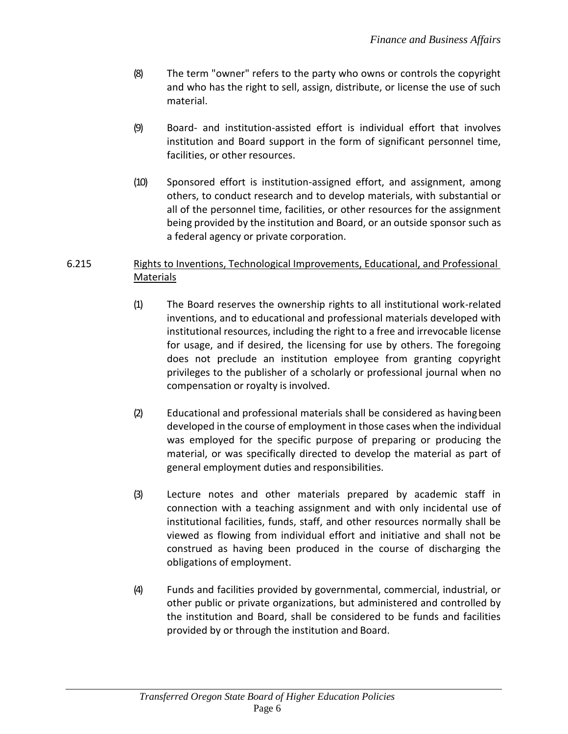- (8) The term "owner" refers to the party who owns or controls the copyright and who has the right to sell, assign, distribute, or license the use of such material.
- (9) Board- and institution-assisted effort is individual effort that involves institution and Board support in the form of significant personnel time, facilities, or other resources.
- (10) Sponsored effort is institution-assigned effort, and assignment, among others, to conduct research and to develop materials, with substantial or all of the personnel time, facilities, or other resources for the assignment being provided by the institution and Board, or an outside sponsor such as a federal agency or private corporation.

## 6.215 Rights to Inventions, Technological Improvements, Educational, and Professional **Materials**

- (1) The Board reserves the ownership rights to all institutional work-related inventions, and to educational and professional materials developed with institutional resources, including the right to a free and irrevocable license for usage, and if desired, the licensing for use by others. The foregoing does not preclude an institution employee from granting copyright privileges to the publisher of a scholarly or professional journal when no compensation or royalty is involved.
- (2) Educational and professional materials shall be considered as havingbeen developed in the course of employment in those cases when the individual was employed for the specific purpose of preparing or producing the material, or was specifically directed to develop the material as part of general employment duties and responsibilities.
- (3) Lecture notes and other materials prepared by academic staff in connection with a teaching assignment and with only incidental use of institutional facilities, funds, staff, and other resources normally shall be viewed as flowing from individual effort and initiative and shall not be construed as having been produced in the course of discharging the obligations of employment.
- (4) Funds and facilities provided by governmental, commercial, industrial, or other public or private organizations, but administered and controlled by the institution and Board, shall be considered to be funds and facilities provided by or through the institution and Board.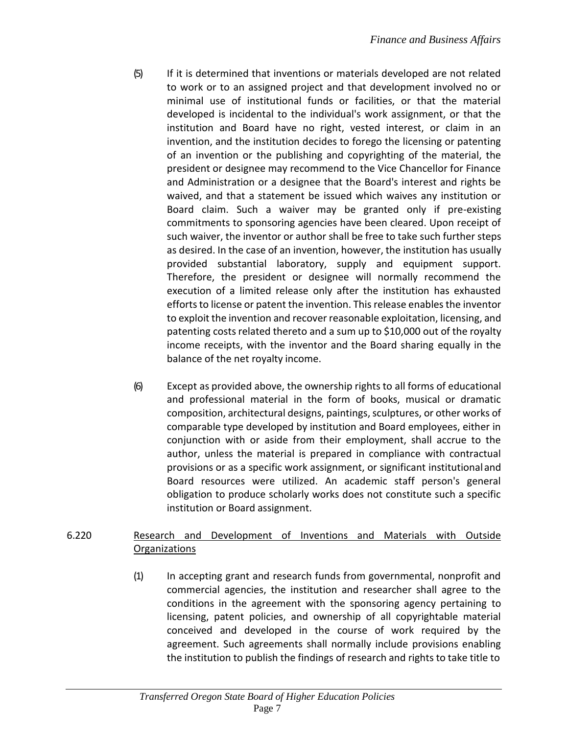- (5) If it is determined that inventions or materials developed are not related to work or to an assigned project and that development involved no or minimal use of institutional funds or facilities, or that the material developed is incidental to the individual's work assignment, or that the institution and Board have no right, vested interest, or claim in an invention, and the institution decides to forego the licensing or patenting of an invention or the publishing and copyrighting of the material, the president or designee may recommend to the Vice Chancellor for Finance and Administration or a designee that the Board's interest and rights be waived, and that a statement be issued which waives any institution or Board claim. Such a waiver may be granted only if pre-existing commitments to sponsoring agencies have been cleared. Upon receipt of such waiver, the inventor or author shall be free to take such further steps as desired. In the case of an invention, however, the institution has usually provided substantial laboratory, supply and equipment support. Therefore, the president or designee will normally recommend the execution of a limited release only after the institution has exhausted efforts to license or patent the invention. This release enables the inventor to exploit the invention and recover reasonable exploitation, licensing, and patenting costs related thereto and a sum up to \$10,000 out of the royalty income receipts, with the inventor and the Board sharing equally in the balance of the net royalty income.
- (6) Except as provided above, the ownership rights to all forms of educational and professional material in the form of books, musical or dramatic composition, architectural designs, paintings, sculptures, or other works of comparable type developed by institution and Board employees, either in conjunction with or aside from their employment, shall accrue to the author, unless the material is prepared in compliance with contractual provisions or as a specific work assignment, or significant institutionaland Board resources were utilized. An academic staff person's general obligation to produce scholarly works does not constitute such a specific institution or Board assignment.

# 6.220 Research and Development of Inventions and Materials with Outside **Organizations**

(1) In accepting grant and research funds from governmental, nonprofit and commercial agencies, the institution and researcher shall agree to the conditions in the agreement with the sponsoring agency pertaining to licensing, patent policies, and ownership of all copyrightable material conceived and developed in the course of work required by the agreement. Such agreements shall normally include provisions enabling the institution to publish the findings of research and rights to take title to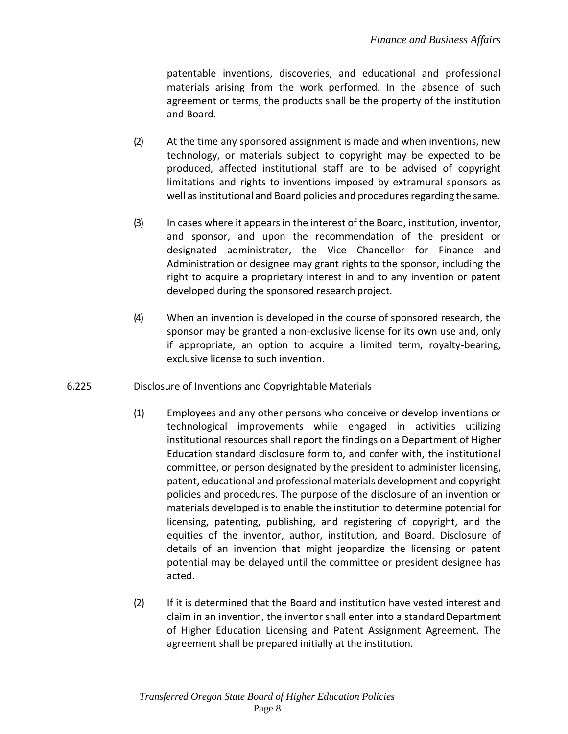patentable inventions, discoveries, and educational and professional materials arising from the work performed. In the absence of such agreement or terms, the products shall be the property of the institution and Board.

- (2) At the time any sponsored assignment is made and when inventions, new technology, or materials subject to copyright may be expected to be produced, affected institutional staff are to be advised of copyright limitations and rights to inventions imposed by extramural sponsors as well as institutional and Board policies and procedures regarding the same.
- (3) In cases where it appearsin the interest of the Board, institution, inventor, and sponsor, and upon the recommendation of the president or designated administrator, the Vice Chancellor for Finance and Administration or designee may grant rights to the sponsor, including the right to acquire a proprietary interest in and to any invention or patent developed during the sponsored research project.
- (4) When an invention is developed in the course of sponsored research, the sponsor may be granted a non-exclusive license for its own use and, only if appropriate, an option to acquire a limited term, royalty-bearing, exclusive license to such invention.

# 6.225 Disclosure of Inventions and Copyrightable Materials

- (1) Employees and any other persons who conceive or develop inventions or technological improvements while engaged in activities utilizing institutional resources shall report the findings on a Department of Higher Education standard disclosure form to, and confer with, the institutional committee, or person designated by the president to administer licensing, patent, educational and professional materials development and copyright policies and procedures. The purpose of the disclosure of an invention or materials developed is to enable the institution to determine potential for licensing, patenting, publishing, and registering of copyright, and the equities of the inventor, author, institution, and Board. Disclosure of details of an invention that might jeopardize the licensing or patent potential may be delayed until the committee or president designee has acted.
- (2) If it is determined that the Board and institution have vested interest and claim in an invention, the inventor shall enter into a standard Department of Higher Education Licensing and Patent Assignment Agreement. The agreement shall be prepared initially at the institution.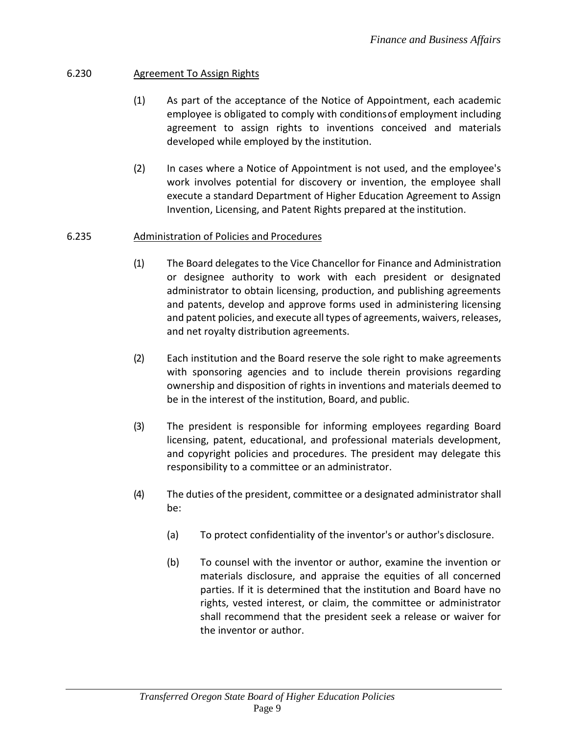# 6.230 Agreement To Assign Rights

- (1) As part of the acceptance of the Notice of Appointment, each academic employee is obligated to comply with conditionsof employment including agreement to assign rights to inventions conceived and materials developed while employed by the institution.
- (2) In cases where a Notice of Appointment is not used, and the employee's work involves potential for discovery or invention, the employee shall execute a standard Department of Higher Education Agreement to Assign Invention, Licensing, and Patent Rights prepared at the institution.

## 6.235 Administration of Policies and Procedures

- (1) The Board delegates to the Vice Chancellor for Finance and Administration or designee authority to work with each president or designated administrator to obtain licensing, production, and publishing agreements and patents, develop and approve forms used in administering licensing and patent policies, and execute all types of agreements, waivers, releases, and net royalty distribution agreements.
- (2) Each institution and the Board reserve the sole right to make agreements with sponsoring agencies and to include therein provisions regarding ownership and disposition of rights in inventions and materials deemed to be in the interest of the institution, Board, and public.
- (3) The president is responsible for informing employees regarding Board licensing, patent, educational, and professional materials development, and copyright policies and procedures. The president may delegate this responsibility to a committee or an administrator.
- (4) The duties of the president, committee or a designated administrator shall be:
	- (a) To protect confidentiality of the inventor's or author's disclosure.
	- (b) To counsel with the inventor or author, examine the invention or materials disclosure, and appraise the equities of all concerned parties. If it is determined that the institution and Board have no rights, vested interest, or claim, the committee or administrator shall recommend that the president seek a release or waiver for the inventor or author.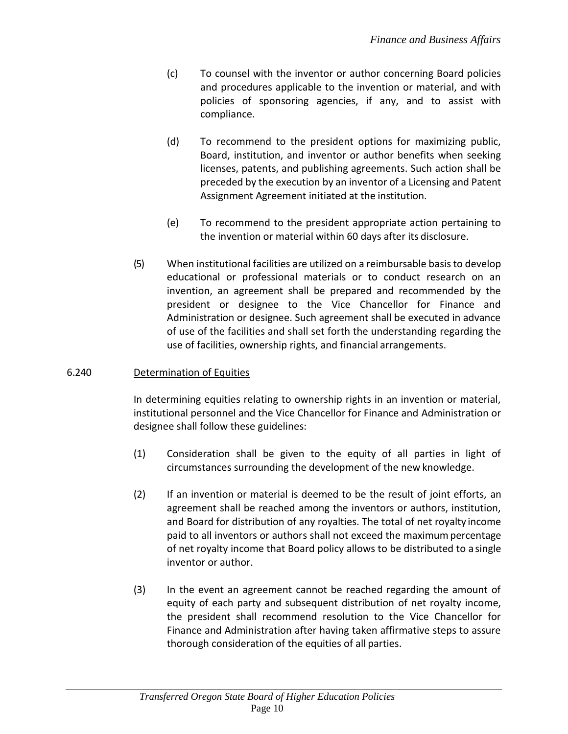- (c) To counsel with the inventor or author concerning Board policies and procedures applicable to the invention or material, and with policies of sponsoring agencies, if any, and to assist with compliance.
- (d) To recommend to the president options for maximizing public, Board, institution, and inventor or author benefits when seeking licenses, patents, and publishing agreements. Such action shall be preceded by the execution by an inventor of a Licensing and Patent Assignment Agreement initiated at the institution.
- (e) To recommend to the president appropriate action pertaining to the invention or material within 60 days after its disclosure.
- (5) When institutional facilities are utilized on a reimbursable basisto develop educational or professional materials or to conduct research on an invention, an agreement shall be prepared and recommended by the president or designee to the Vice Chancellor for Finance and Administration or designee. Such agreement shall be executed in advance of use of the facilities and shall set forth the understanding regarding the use of facilities, ownership rights, and financial arrangements.

## 6.240 Determination of Equities

In determining equities relating to ownership rights in an invention or material, institutional personnel and the Vice Chancellor for Finance and Administration or designee shall follow these guidelines:

- (1) Consideration shall be given to the equity of all parties in light of circumstances surrounding the development of the new knowledge.
- (2) If an invention or material is deemed to be the result of joint efforts, an agreement shall be reached among the inventors or authors, institution, and Board for distribution of any royalties. The total of net royalty income paid to all inventors or authors shall not exceed the maximumpercentage of net royalty income that Board policy allows to be distributed to a single inventor or author.
- (3) In the event an agreement cannot be reached regarding the amount of equity of each party and subsequent distribution of net royalty income, the president shall recommend resolution to the Vice Chancellor for Finance and Administration after having taken affirmative steps to assure thorough consideration of the equities of all parties.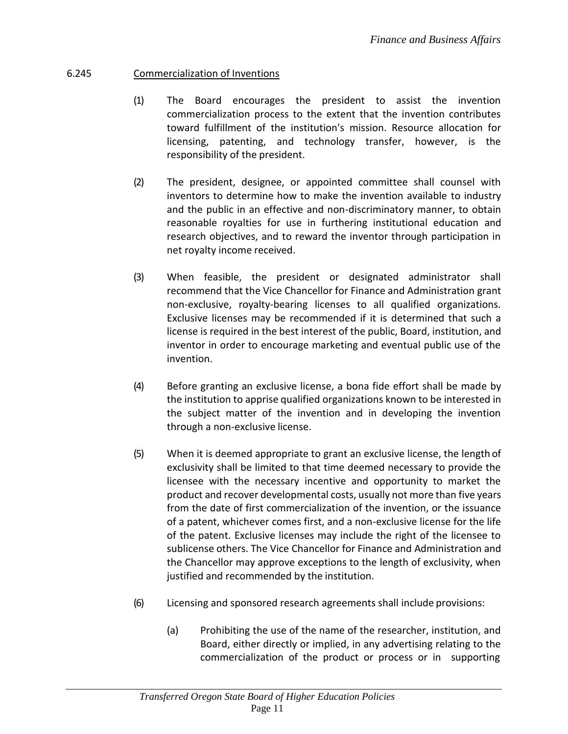## 6.245 Commercialization of Inventions

- (1) The Board encourages the president to assist the invention commercialization process to the extent that the invention contributes toward fulfillment of the institution's mission. Resource allocation for licensing, patenting, and technology transfer, however, is the responsibility of the president.
- (2) The president, designee, or appointed committee shall counsel with inventors to determine how to make the invention available to industry and the public in an effective and non-discriminatory manner, to obtain reasonable royalties for use in furthering institutional education and research objectives, and to reward the inventor through participation in net royalty income received.
- (3) When feasible, the president or designated administrator shall recommend that the Vice Chancellor for Finance and Administration grant non-exclusive, royalty-bearing licenses to all qualified organizations. Exclusive licenses may be recommended if it is determined that such a license is required in the best interest of the public, Board, institution, and inventor in order to encourage marketing and eventual public use of the invention.
- (4) Before granting an exclusive license, a bona fide effort shall be made by the institution to apprise qualified organizations known to be interested in the subject matter of the invention and in developing the invention through a non-exclusive license.
- (5) When it is deemed appropriate to grant an exclusive license, the length of exclusivity shall be limited to that time deemed necessary to provide the licensee with the necessary incentive and opportunity to market the product and recover developmental costs, usually not more than five years from the date of first commercialization of the invention, or the issuance of a patent, whichever comes first, and a non-exclusive license for the life of the patent. Exclusive licenses may include the right of the licensee to sublicense others. The Vice Chancellor for Finance and Administration and the Chancellor may approve exceptions to the length of exclusivity, when justified and recommended by the institution.
- (6) Licensing and sponsored research agreements shall include provisions:
	- (a) Prohibiting the use of the name of the researcher, institution, and Board, either directly or implied, in any advertising relating to the commercialization of the product or process or in supporting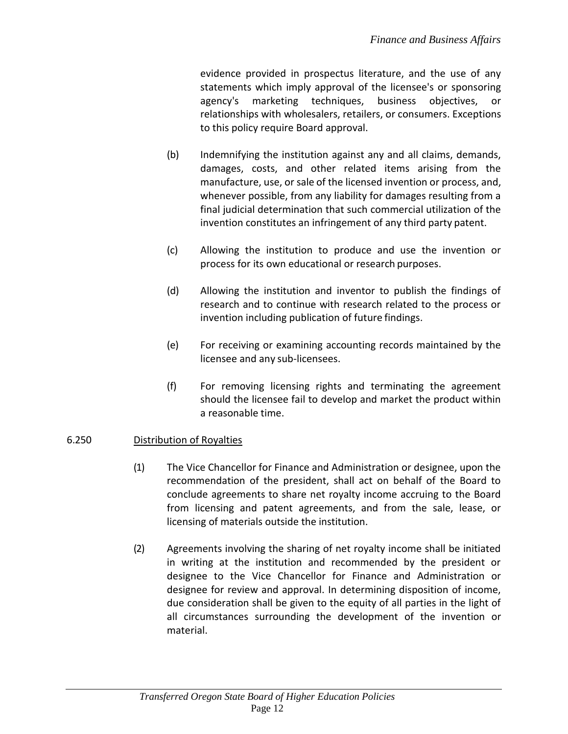evidence provided in prospectus literature, and the use of any statements which imply approval of the licensee's or sponsoring agency's marketing techniques, business objectives, or relationships with wholesalers, retailers, or consumers. Exceptions to this policy require Board approval.

- (b) Indemnifying the institution against any and all claims, demands, damages, costs, and other related items arising from the manufacture, use, or sale of the licensed invention or process, and, whenever possible, from any liability for damages resulting from a final judicial determination that such commercial utilization of the invention constitutes an infringement of any third party patent.
- (c) Allowing the institution to produce and use the invention or process for its own educational or research purposes.
- (d) Allowing the institution and inventor to publish the findings of research and to continue with research related to the process or invention including publication of future findings.
- (e) For receiving or examining accounting records maintained by the licensee and any sub-licensees.
- (f) For removing licensing rights and terminating the agreement should the licensee fail to develop and market the product within a reasonable time.

## 6.250 Distribution of Royalties

- (1) The Vice Chancellor for Finance and Administration or designee, upon the recommendation of the president, shall act on behalf of the Board to conclude agreements to share net royalty income accruing to the Board from licensing and patent agreements, and from the sale, lease, or licensing of materials outside the institution.
- (2) Agreements involving the sharing of net royalty income shall be initiated in writing at the institution and recommended by the president or designee to the Vice Chancellor for Finance and Administration or designee for review and approval. In determining disposition of income, due consideration shall be given to the equity of all parties in the light of all circumstances surrounding the development of the invention or material.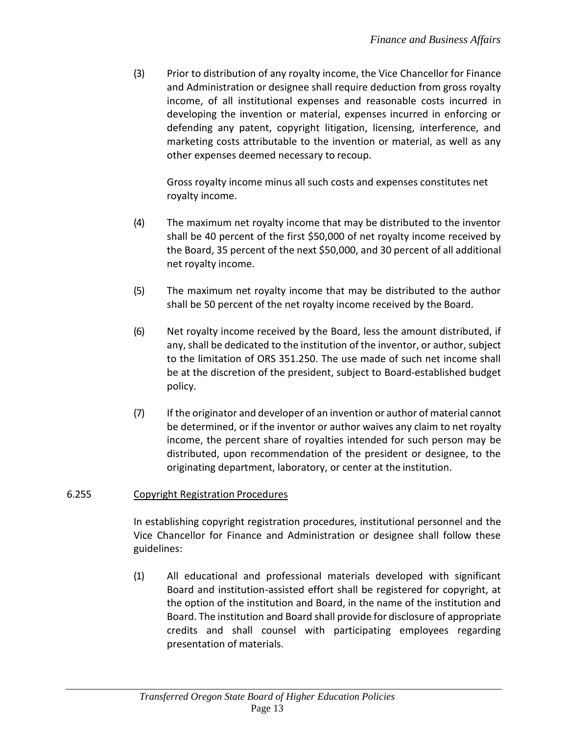(3) Prior to distribution of any royalty income, the Vice Chancellor for Finance and Administration or designee shall require deduction from gross royalty income, of all institutional expenses and reasonable costs incurred in developing the invention or material, expenses incurred in enforcing or defending any patent, copyright litigation, licensing, interference, and marketing costs attributable to the invention or material, as well as any other expenses deemed necessary to recoup.

Gross royalty income minus all such costs and expenses constitutes net royalty income.

- (4) The maximum net royalty income that may be distributed to the inventor shall be 40 percent of the first \$50,000 of net royalty income received by the Board, 35 percent of the next \$50,000, and 30 percent of all additional net royalty income.
- (5) The maximum net royalty income that may be distributed to the author shall be 50 percent of the net royalty income received by the Board.
- (6) Net royalty income received by the Board, less the amount distributed, if any, shall be dedicated to the institution of the inventor, or author, subject to the limitation of ORS 351.250. The use made of such net income shall be at the discretion of the president, subject to Board-established budget policy.
- (7) If the originator and developer of an invention or author of material cannot be determined, or if the inventor or author waives any claim to net royalty income, the percent share of royalties intended for such person may be distributed, upon recommendation of the president or designee, to the originating department, laboratory, or center at the institution.

#### 6.255 Copyright Registration Procedures

In establishing copyright registration procedures, institutional personnel and the Vice Chancellor for Finance and Administration or designee shall follow these guidelines:

(1) All educational and professional materials developed with significant Board and institution-assisted effort shall be registered for copyright, at the option of the institution and Board, in the name of the institution and Board. The institution and Board shall provide for disclosure of appropriate credits and shall counsel with participating employees regarding presentation of materials.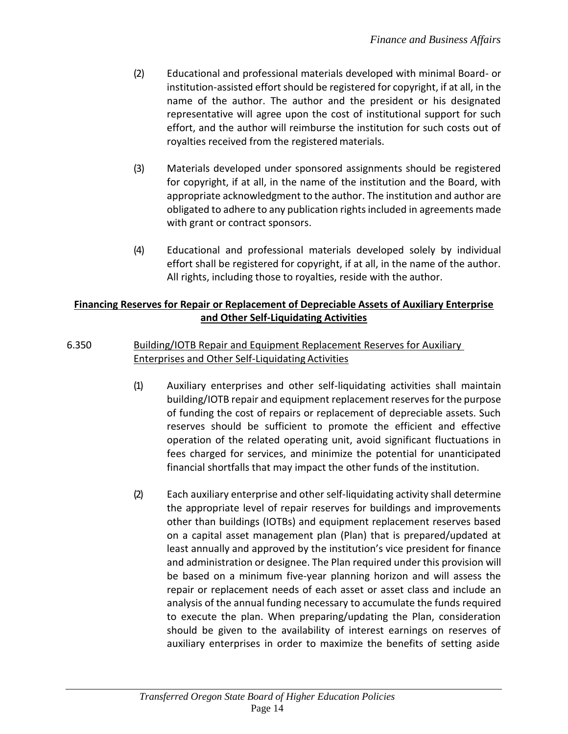- (2) Educational and professional materials developed with minimal Board- or institution-assisted effort should be registered for copyright, if at all, in the name of the author. The author and the president or his designated representative will agree upon the cost of institutional support for such effort, and the author will reimburse the institution for such costs out of royalties received from the registered materials.
- (3) Materials developed under sponsored assignments should be registered for copyright, if at all, in the name of the institution and the Board, with appropriate acknowledgment to the author. The institution and author are obligated to adhere to any publication rights included in agreements made with grant or contract sponsors.
- (4) Educational and professional materials developed solely by individual effort shall be registered for copyright, if at all, in the name of the author. All rights, including those to royalties, reside with the author.

# **Financing Reserves for Repair or Replacement of Depreciable Assets of Auxiliary Enterprise and Other Self-Liquidating Activities**

# 6.350 Building/IOTB Repair and Equipment Replacement Reserves for Auxiliary Enterprises and Other Self-Liquidating Activities

- (1) Auxiliary enterprises and other self-liquidating activities shall maintain building/IOTB repair and equipment replacement reserves for the purpose of funding the cost of repairs or replacement of depreciable assets. Such reserves should be sufficient to promote the efficient and effective operation of the related operating unit, avoid significant fluctuations in fees charged for services, and minimize the potential for unanticipated financial shortfalls that may impact the other funds of the institution.
- (2) Each auxiliary enterprise and other self-liquidating activity shall determine the appropriate level of repair reserves for buildings and improvements other than buildings (IOTBs) and equipment replacement reserves based on a capital asset management plan (Plan) that is prepared/updated at least annually and approved by the institution's vice president for finance and administration or designee. The Plan required under this provision will be based on a minimum five-year planning horizon and will assess the repair or replacement needs of each asset or asset class and include an analysis of the annual funding necessary to accumulate the funds required to execute the plan. When preparing/updating the Plan, consideration should be given to the availability of interest earnings on reserves of auxiliary enterprises in order to maximize the benefits of setting aside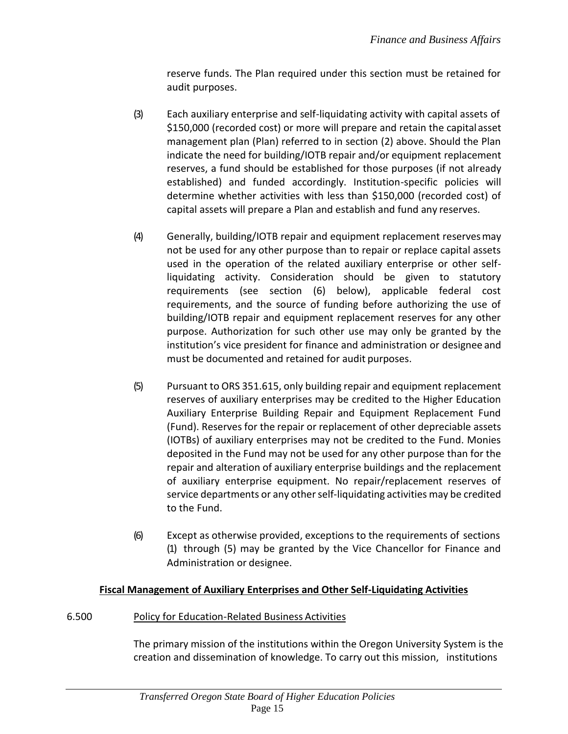reserve funds. The Plan required under this section must be retained for audit purposes.

- (3) Each auxiliary enterprise and self-liquidating activity with capital assets of \$150,000 (recorded cost) or more will prepare and retain the capitalasset management plan (Plan) referred to in section (2) above. Should the Plan indicate the need for building/IOTB repair and/or equipment replacement reserves, a fund should be established for those purposes (if not already established) and funded accordingly. Institution-specific policies will determine whether activities with less than \$150,000 (recorded cost) of capital assets will prepare a Plan and establish and fund any reserves.
- (4) Generally, building/IOTB repair and equipment replacement reservesmay not be used for any other purpose than to repair or replace capital assets used in the operation of the related auxiliary enterprise or other selfliquidating activity. Consideration should be given to statutory requirements (see section (6) below), applicable federal cost requirements, and the source of funding before authorizing the use of building/IOTB repair and equipment replacement reserves for any other purpose. Authorization for such other use may only be granted by the institution's vice president for finance and administration or designee and must be documented and retained for audit purposes.
- (5) Pursuant to ORS 351.615, only building repair and equipment replacement reserves of auxiliary enterprises may be credited to the Higher Education Auxiliary Enterprise Building Repair and Equipment Replacement Fund (Fund). Reserves for the repair or replacement of other depreciable assets (IOTBs) of auxiliary enterprises may not be credited to the Fund. Monies deposited in the Fund may not be used for any other purpose than for the repair and alteration of auxiliary enterprise buildings and the replacement of auxiliary enterprise equipment. No repair/replacement reserves of service departments or any other self-liquidating activities may be credited to the Fund.
- (6) Except as otherwise provided, exceptions to the requirements of sections (1) through (5) may be granted by the Vice Chancellor for Finance and Administration or designee.

# **Fiscal Management of Auxiliary Enterprises and Other Self-Liquidating Activities**

## 6.500 Policy for Education-Related Business Activities

The primary mission of the institutions within the Oregon University System is the creation and dissemination of knowledge. To carry out this mission, institutions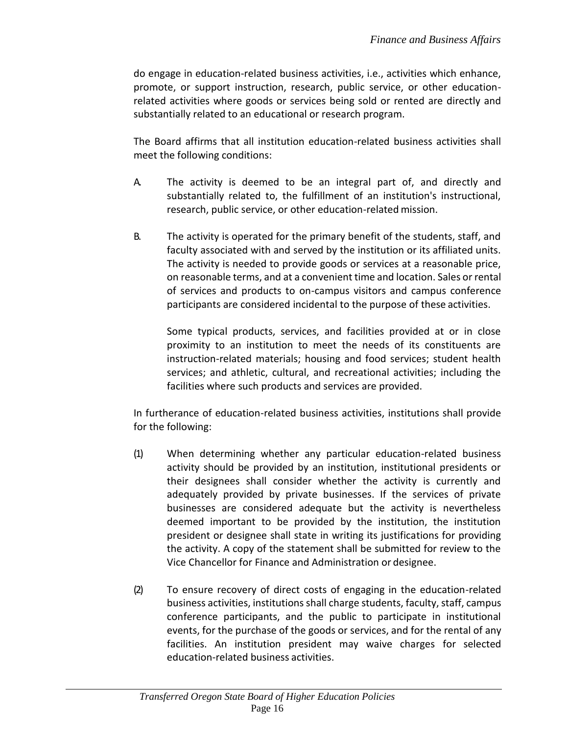do engage in education-related business activities, i.e., activities which enhance, promote, or support instruction, research, public service, or other educationrelated activities where goods or services being sold or rented are directly and substantially related to an educational or research program.

The Board affirms that all institution education-related business activities shall meet the following conditions:

- A. The activity is deemed to be an integral part of, and directly and substantially related to, the fulfillment of an institution's instructional, research, public service, or other education-related mission.
- B. The activity is operated for the primary benefit of the students, staff, and faculty associated with and served by the institution or its affiliated units. The activity is needed to provide goods or services at a reasonable price, on reasonable terms, and at a convenient time and location. Sales or rental of services and products to on-campus visitors and campus conference participants are considered incidental to the purpose of these activities.

Some typical products, services, and facilities provided at or in close proximity to an institution to meet the needs of its constituents are instruction-related materials; housing and food services; student health services; and athletic, cultural, and recreational activities; including the facilities where such products and services are provided.

In furtherance of education-related business activities, institutions shall provide for the following:

- (1) When determining whether any particular education-related business activity should be provided by an institution, institutional presidents or their designees shall consider whether the activity is currently and adequately provided by private businesses. If the services of private businesses are considered adequate but the activity is nevertheless deemed important to be provided by the institution, the institution president or designee shall state in writing its justifications for providing the activity. A copy of the statement shall be submitted for review to the Vice Chancellor for Finance and Administration or designee.
- (2) To ensure recovery of direct costs of engaging in the education-related business activities, institutions shall charge students, faculty, staff, campus conference participants, and the public to participate in institutional events, for the purchase of the goods or services, and for the rental of any facilities. An institution president may waive charges for selected education-related business activities.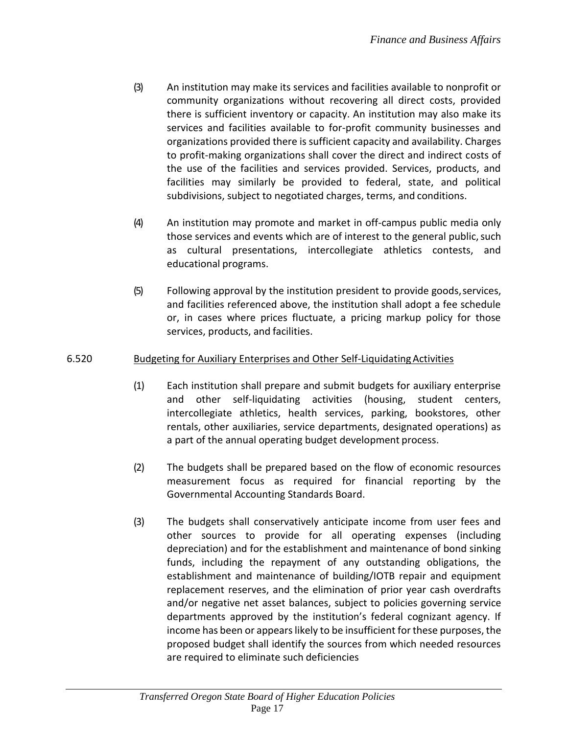- (3) An institution may make its services and facilities available to nonprofit or community organizations without recovering all direct costs, provided there is sufficient inventory or capacity. An institution may also make its services and facilities available to for-profit community businesses and organizations provided there is sufficient capacity and availability. Charges to profit-making organizations shall cover the direct and indirect costs of the use of the facilities and services provided. Services, products, and facilities may similarly be provided to federal, state, and political subdivisions, subject to negotiated charges, terms, and conditions.
- (4) An institution may promote and market in off-campus public media only those services and events which are of interest to the general public, such as cultural presentations, intercollegiate athletics contests, and educational programs.
- (5) Following approval by the institution president to provide goods,services, and facilities referenced above, the institution shall adopt a fee schedule or, in cases where prices fluctuate, a pricing markup policy for those services, products, and facilities.

# 6.520 Budgeting for Auxiliary Enterprises and Other Self-LiquidatingActivities

- (1) Each institution shall prepare and submit budgets for auxiliary enterprise and other self-liquidating activities (housing, student centers, intercollegiate athletics, health services, parking, bookstores, other rentals, other auxiliaries, service departments, designated operations) as a part of the annual operating budget development process.
- (2) The budgets shall be prepared based on the flow of economic resources measurement focus as required for financial reporting by the Governmental Accounting Standards Board.
- (3) The budgets shall conservatively anticipate income from user fees and other sources to provide for all operating expenses (including depreciation) and for the establishment and maintenance of bond sinking funds, including the repayment of any outstanding obligations, the establishment and maintenance of building/IOTB repair and equipment replacement reserves, and the elimination of prior year cash overdrafts and/or negative net asset balances, subject to policies governing service departments approved by the institution's federal cognizant agency. If income has been or appears likely to be insufficient for these purposes, the proposed budget shall identify the sources from which needed resources are required to eliminate such deficiencies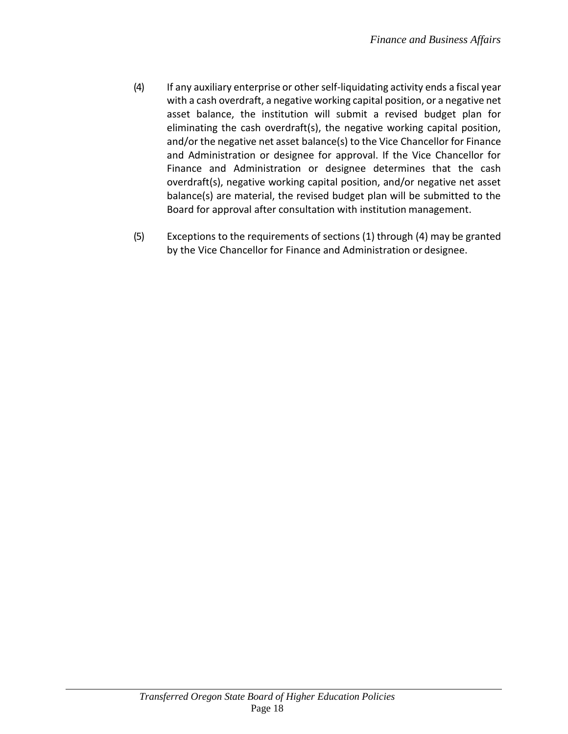- (4) If any auxiliary enterprise or otherself-liquidating activity ends a fiscal year with a cash overdraft, a negative working capital position, or a negative net asset balance, the institution will submit a revised budget plan for eliminating the cash overdraft(s), the negative working capital position, and/or the negative net asset balance(s) to the Vice Chancellor for Finance and Administration or designee for approval. If the Vice Chancellor for Finance and Administration or designee determines that the cash overdraft(s), negative working capital position, and/or negative net asset balance(s) are material, the revised budget plan will be submitted to the Board for approval after consultation with institution management.
- (5) Exceptions to the requirements of sections (1) through (4) may be granted by the Vice Chancellor for Finance and Administration or designee.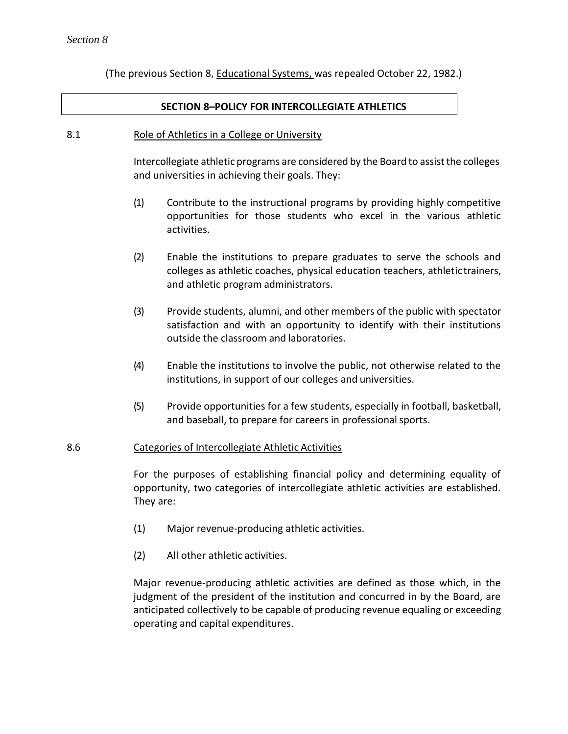(The previous Section 8, Educational Systems, was repealed October 22, 1982.)

#### **SECTION 8–POLICY FOR INTERCOLLEGIATE ATHLETICS**

#### 8.1 Role of Athletics in a College or University

Intercollegiate athletic programs are considered by the Board to assist the colleges and universities in achieving their goals. They:

- (1) Contribute to the instructional programs by providing highly competitive opportunities for those students who excel in the various athletic activities.
- (2) Enable the institutions to prepare graduates to serve the schools and colleges as athletic coaches, physical education teachers, athletictrainers, and athletic program administrators.
- (3) Provide students, alumni, and other members of the public with spectator satisfaction and with an opportunity to identify with their institutions outside the classroom and laboratories.
- (4) Enable the institutions to involve the public, not otherwise related to the institutions, in support of our colleges and universities.
- (5) Provide opportunities for a few students, especially in football, basketball, and baseball, to prepare for careers in professional sports.

#### 8.6 Categories of Intercollegiate Athletic Activities

For the purposes of establishing financial policy and determining equality of opportunity, two categories of intercollegiate athletic activities are established. They are:

- (1) Major revenue-producing athletic activities.
- (2) All other athletic activities.

Major revenue-producing athletic activities are defined as those which, in the judgment of the president of the institution and concurred in by the Board, are anticipated collectively to be capable of producing revenue equaling or exceeding operating and capital expenditures.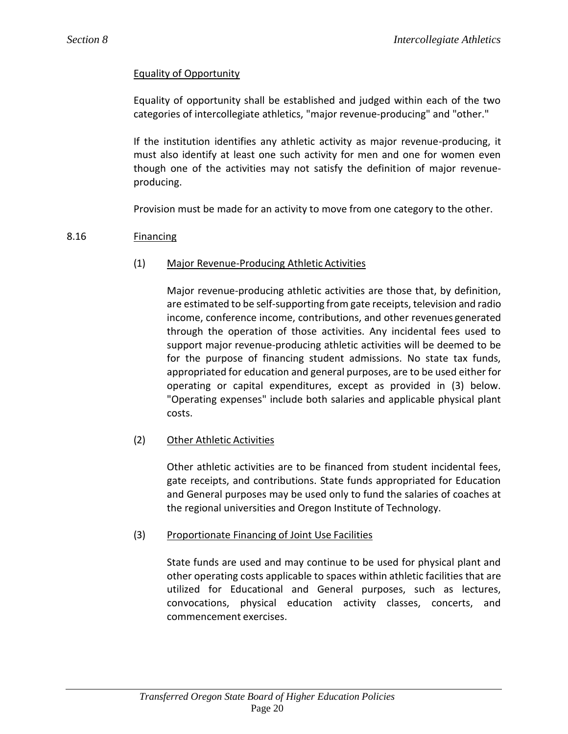# Equality of Opportunity

Equality of opportunity shall be established and judged within each of the two categories of intercollegiate athletics, "major revenue-producing" and "other."

If the institution identifies any athletic activity as major revenue-producing, it must also identify at least one such activity for men and one for women even though one of the activities may not satisfy the definition of major revenueproducing.

Provision must be made for an activity to move from one category to the other.

## 8.16 Financing

## (1) Major Revenue-Producing Athletic Activities

Major revenue-producing athletic activities are those that, by definition, are estimated to be self-supporting from gate receipts, television and radio income, conference income, contributions, and other revenues generated through the operation of those activities. Any incidental fees used to support major revenue-producing athletic activities will be deemed to be for the purpose of financing student admissions. No state tax funds, appropriated for education and general purposes, are to be used either for operating or capital expenditures, except as provided in (3) below. "Operating expenses" include both salaries and applicable physical plant costs.

## (2) Other Athletic Activities

Other athletic activities are to be financed from student incidental fees, gate receipts, and contributions. State funds appropriated for Education and General purposes may be used only to fund the salaries of coaches at the regional universities and Oregon Institute of Technology.

## (3) Proportionate Financing of Joint Use Facilities

State funds are used and may continue to be used for physical plant and other operating costs applicable to spaces within athletic facilities that are utilized for Educational and General purposes, such as lectures, convocations, physical education activity classes, concerts, and commencement exercises.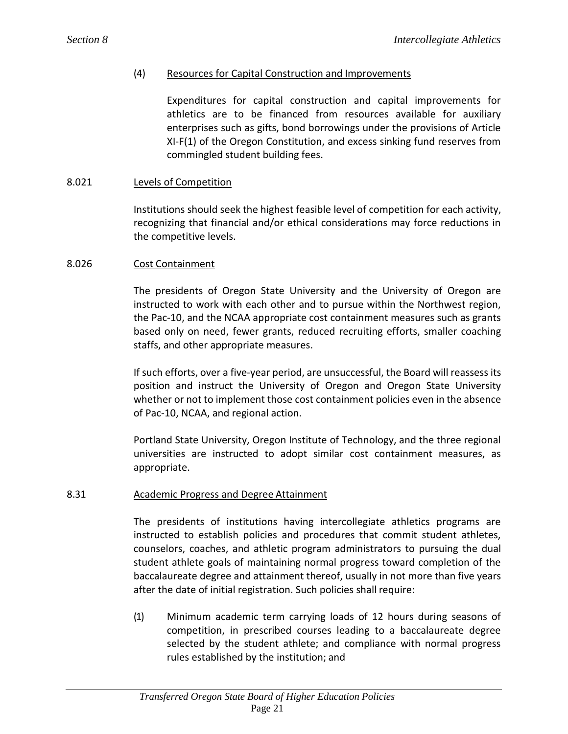## (4) Resources for Capital Construction and Improvements

Expenditures for capital construction and capital improvements for athletics are to be financed from resources available for auxiliary enterprises such as gifts, bond borrowings under the provisions of Article XI-F(1) of the Oregon Constitution, and excess sinking fund reserves from commingled student building fees.

## 8.021 Levels of Competition

Institutions should seek the highest feasible level of competition for each activity, recognizing that financial and/or ethical considerations may force reductions in the competitive levels.

#### 8.026 Cost Containment

The presidents of Oregon State University and the University of Oregon are instructed to work with each other and to pursue within the Northwest region, the Pac-10, and the NCAA appropriate cost containment measures such as grants based only on need, fewer grants, reduced recruiting efforts, smaller coaching staffs, and other appropriate measures.

If such efforts, over a five-year period, are unsuccessful, the Board will reassess its position and instruct the University of Oregon and Oregon State University whether or not to implement those cost containment policies even in the absence of Pac-10, NCAA, and regional action.

Portland State University, Oregon Institute of Technology, and the three regional universities are instructed to adopt similar cost containment measures, as appropriate.

## 8.31 Academic Progress and Degree Attainment

The presidents of institutions having intercollegiate athletics programs are instructed to establish policies and procedures that commit student athletes, counselors, coaches, and athletic program administrators to pursuing the dual student athlete goals of maintaining normal progress toward completion of the baccalaureate degree and attainment thereof, usually in not more than five years after the date of initial registration. Such policies shall require:

(1) Minimum academic term carrying loads of 12 hours during seasons of competition, in prescribed courses leading to a baccalaureate degree selected by the student athlete; and compliance with normal progress rules established by the institution; and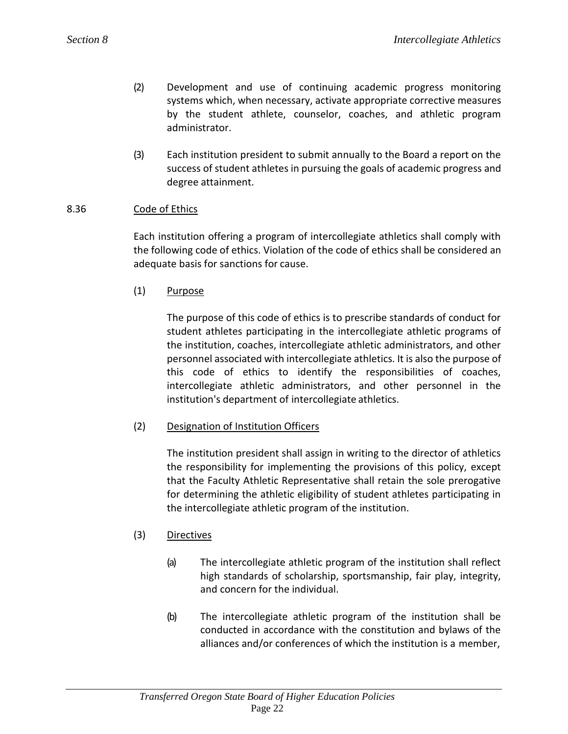- (2) Development and use of continuing academic progress monitoring systems which, when necessary, activate appropriate corrective measures by the student athlete, counselor, coaches, and athletic program administrator.
- (3) Each institution president to submit annually to the Board a report on the success of student athletes in pursuing the goals of academic progress and degree attainment.

## 8.36 Code of Ethics

Each institution offering a program of intercollegiate athletics shall comply with the following code of ethics. Violation of the code of ethics shall be considered an adequate basis for sanctions for cause.

(1) Purpose

The purpose of this code of ethics is to prescribe standards of conduct for student athletes participating in the intercollegiate athletic programs of the institution, coaches, intercollegiate athletic administrators, and other personnel associated with intercollegiate athletics. It is also the purpose of this code of ethics to identify the responsibilities of coaches, intercollegiate athletic administrators, and other personnel in the institution's department of intercollegiate athletics.

## (2) Designation of Institution Officers

The institution president shall assign in writing to the director of athletics the responsibility for implementing the provisions of this policy, except that the Faculty Athletic Representative shall retain the sole prerogative for determining the athletic eligibility of student athletes participating in the intercollegiate athletic program of the institution.

## (3) Directives

- (a) The intercollegiate athletic program of the institution shall reflect high standards of scholarship, sportsmanship, fair play, integrity, and concern for the individual.
- (b) The intercollegiate athletic program of the institution shall be conducted in accordance with the constitution and bylaws of the alliances and/or conferences of which the institution is a member,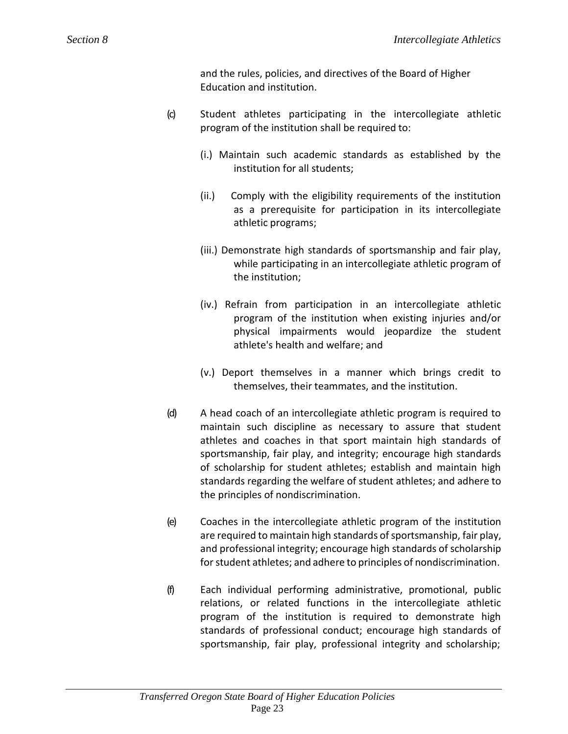and the rules, policies, and directives of the Board of Higher Education and institution.

- (c) Student athletes participating in the intercollegiate athletic program of the institution shall be required to:
	- (i.) Maintain such academic standards as established by the institution for all students;
	- (ii.) Comply with the eligibility requirements of the institution as a prerequisite for participation in its intercollegiate athletic programs;
	- (iii.) Demonstrate high standards of sportsmanship and fair play, while participating in an intercollegiate athletic program of the institution;
	- (iv.) Refrain from participation in an intercollegiate athletic program of the institution when existing injuries and/or physical impairments would jeopardize the student athlete's health and welfare; and
	- (v.) Deport themselves in a manner which brings credit to themselves, their teammates, and the institution.
- (d) A head coach of an intercollegiate athletic program is required to maintain such discipline as necessary to assure that student athletes and coaches in that sport maintain high standards of sportsmanship, fair play, and integrity; encourage high standards of scholarship for student athletes; establish and maintain high standards regarding the welfare of student athletes; and adhere to the principles of nondiscrimination.
- (e) Coaches in the intercollegiate athletic program of the institution are required to maintain high standards of sportsmanship, fair play, and professional integrity; encourage high standards of scholarship for student athletes; and adhere to principles of nondiscrimination.
- (f) Each individual performing administrative, promotional, public relations, or related functions in the intercollegiate athletic program of the institution is required to demonstrate high standards of professional conduct; encourage high standards of sportsmanship, fair play, professional integrity and scholarship;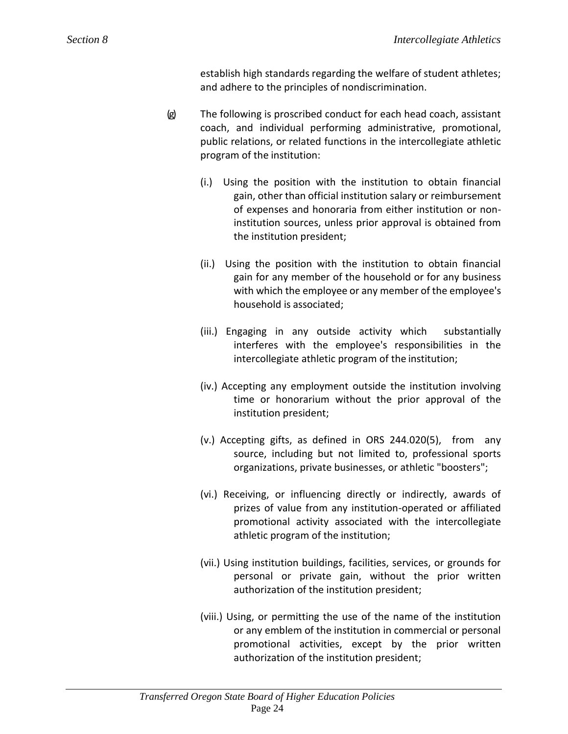establish high standards regarding the welfare of student athletes; and adhere to the principles of nondiscrimination.

- (g) The following is proscribed conduct for each head coach, assistant coach, and individual performing administrative, promotional, public relations, or related functions in the intercollegiate athletic program of the institution:
	- (i.) Using the position with the institution to obtain financial gain, other than official institution salary or reimbursement of expenses and honoraria from either institution or noninstitution sources, unless prior approval is obtained from the institution president;
	- (ii.) Using the position with the institution to obtain financial gain for any member of the household or for any business with which the employee or any member of the employee's household is associated;
	- (iii.) Engaging in any outside activity which substantially interferes with the employee's responsibilities in the intercollegiate athletic program of the institution;
	- (iv.) Accepting any employment outside the institution involving time or honorarium without the prior approval of the institution president;
	- (v.) Accepting gifts, as defined in ORS 244.020(5), from any source, including but not limited to, professional sports organizations, private businesses, or athletic "boosters";
	- (vi.) Receiving, or influencing directly or indirectly, awards of prizes of value from any institution-operated or affiliated promotional activity associated with the intercollegiate athletic program of the institution;
	- (vii.) Using institution buildings, facilities, services, or grounds for personal or private gain, without the prior written authorization of the institution president;
	- (viii.) Using, or permitting the use of the name of the institution or any emblem of the institution in commercial or personal promotional activities, except by the prior written authorization of the institution president;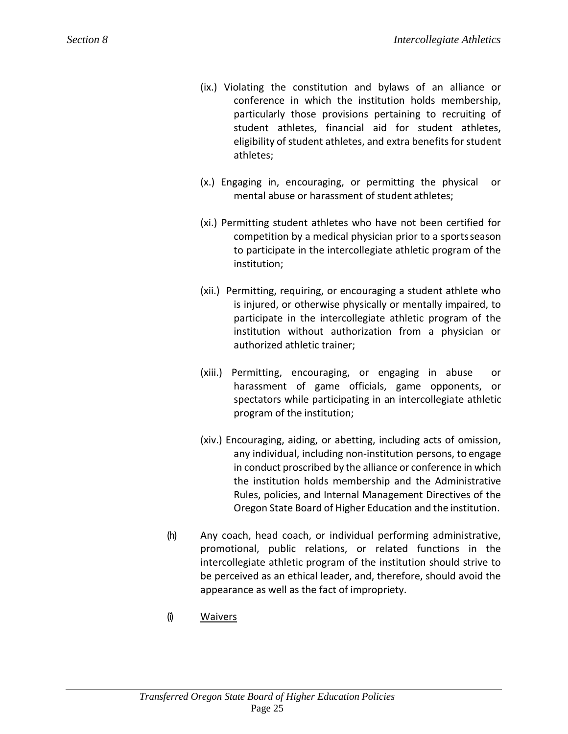- (ix.) Violating the constitution and bylaws of an alliance or conference in which the institution holds membership, particularly those provisions pertaining to recruiting of student athletes, financial aid for student athletes, eligibility of student athletes, and extra benefits for student athletes;
- (x.) Engaging in, encouraging, or permitting the physical or mental abuse or harassment of student athletes;
- (xi.) Permitting student athletes who have not been certified for competition by a medical physician prior to a sportsseason to participate in the intercollegiate athletic program of the institution;
- (xii.) Permitting, requiring, or encouraging a student athlete who is injured, or otherwise physically or mentally impaired, to participate in the intercollegiate athletic program of the institution without authorization from a physician or authorized athletic trainer;
- (xiii.) Permitting, encouraging, or engaging in abuse or harassment of game officials, game opponents, or spectators while participating in an intercollegiate athletic program of the institution;
- (xiv.) Encouraging, aiding, or abetting, including acts of omission, any individual, including non-institution persons, to engage in conduct proscribed by the alliance or conference in which the institution holds membership and the Administrative Rules, policies, and Internal Management Directives of the Oregon State Board of Higher Education and the institution.
- (h) Any coach, head coach, or individual performing administrative, promotional, public relations, or related functions in the intercollegiate athletic program of the institution should strive to be perceived as an ethical leader, and, therefore, should avoid the appearance as well as the fact of impropriety.
- (i) Waivers